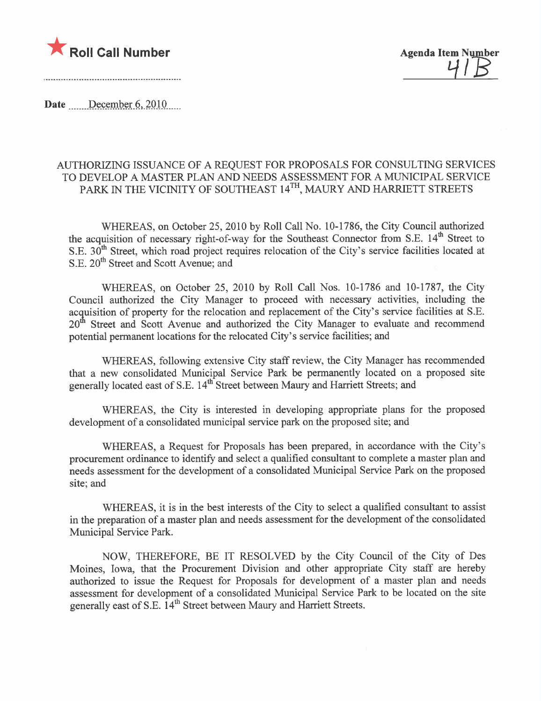

41 B

Date December  $6, 2010$ 

## AUTHORIZING ISSUANCE OF A REQUEST FOR PROPOSALS FOR CONSULTING SERVICES TO DEVELOP A MASTER PLAN AND NEEDS ASSESSMENT FOR A MUNICIPAL SERVICE PARK IN THE VICINITY OF SOUTHEAST 14<sup>TH</sup>, MAURY AND HARRIETT STREETS

WHEREAS, on October 25, 2010 by Roll Call No. 10-1786, the City Council authorized the acquisition of necessary right-of-way for the Southeast Connector from S.E.  $14<sup>th</sup>$  Street to S.E. 30<sup>th</sup> Street, which road project requires relocation of the City's service facilities located at S.E. 20<sup>th</sup> Street and Scott Avenue; and

WHEREAS, on October 25, 2010 by Roll Call Nos. 10-1786 and 10-1787, the City Council authorized the City Manager to proceed with necessary activities, including the acquisition of property for the relocation and replacement of the City's service facilities at S.E.  $20<sup>th</sup>$  Street and Scott Avenue and authorized the City Manager to evaluate and recommend potential permanent locations for the relocated City's service facilities; and

WHEREAS, following extensive City staff review, the City Manager has recommended that a new consolidated Municipal Service Park be permanently located on a proposed site generally located east of S.E. 14<sup>th</sup> Street between Maury and Harriett Streets; and

WHEREAS, the City is interested in developing appropriate plans for the proposed development of a consolidated municipal service park on the proposed site; and

WHEREAS, a Request for Proposals has been prepared, in accordance with the City's procurement ordinance to identify and select a qualified consultant to complete a master plan and needs assessment for the development of a consolidated Municipal Service Park on the proposed site; and

WHEREAS, it is in the best interests of the City to select a qualified consultant to assist in the preparation of a master plan and needs assessment for the development of the consolidated Municipal Service Park.

NOW, THEREFORE, BE IT RESOLVED by the City Council of the City of Des Moines, Iowa, that the Procurement Division and other appropriate City staff are hereby authorized to issue the Request for Proposals for development of a master plan and needs assessment for development of a consolidated Municipal Service Park to be located on the site generally east of S.E. 14<sup>th</sup> Street between Maury and Harriett Streets.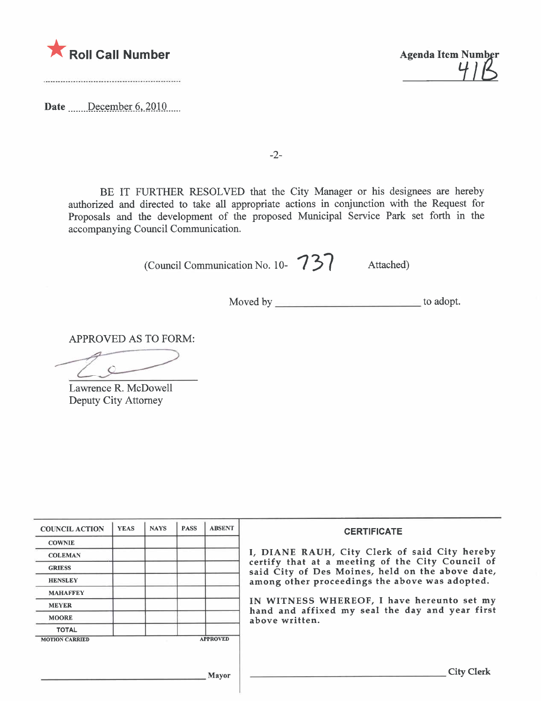

Date December 6, 2010

 $\mathcal{L}$ 

-2-

BE IT FURTHER RESOLVED that the City Manager or his designees are hereby authorized and directed to take all appropriate actions in conjunction with the Request for Proposals and the development of the proposed Municipal Service Park set forth in the accompanying Council Communication.

(Council Communication No. 10- 737 Attached)

Moved by to adopt.

APPROVED AS TO FORM:

Lawrence R. McDowell Deputy City Attorney

| <b>COUNCIL ACTION</b> | <b>YEAS</b> | <b>NAYS</b> | <b>PASS</b> | <b>ABSENT</b>   | <b>CERTIFICATE</b>                                                                                   |
|-----------------------|-------------|-------------|-------------|-----------------|------------------------------------------------------------------------------------------------------|
| <b>COWNIE</b>         |             |             |             |                 |                                                                                                      |
| <b>COLEMAN</b>        |             |             |             |                 | I, DIANE RAUH, City Clerk of said City hereby                                                        |
| <b>GRIESS</b>         |             |             |             |                 | certify that at a meeting of the City Council of<br>said City of Des Moines, held on the above date, |
| <b>HENSLEY</b>        |             |             |             |                 | among other proceedings the above was adopted.                                                       |
| <b>MAHAFFEY</b>       |             |             |             |                 |                                                                                                      |
| <b>MEYER</b>          |             |             |             |                 | IN WITNESS WHEREOF, I have hereunto set my<br>hand and affixed my seal the day and year first        |
| <b>MOORE</b>          |             |             |             |                 | above written.                                                                                       |
| <b>TOTAL</b>          |             |             |             |                 |                                                                                                      |
| <b>MOTION CARRIED</b> |             |             |             | <b>APPROVED</b> |                                                                                                      |
|                       |             |             |             |                 |                                                                                                      |
|                       |             |             |             |                 |                                                                                                      |
|                       |             |             |             | Mayor           | <b>City Clerk</b>                                                                                    |